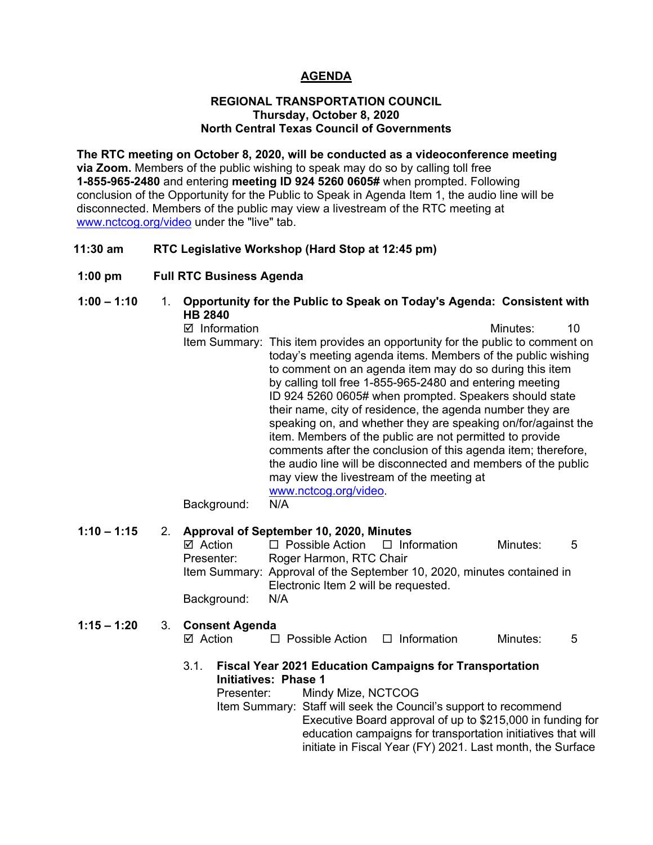## **AGENDA**

#### **REGIONAL TRANSPORTATION COUNCIL Thursday, October 8, 2020 North Central Texas Council of Governments**

**The RTC meeting on October 8, 2020, will be conducted as a videoconference meeting via Zoom.** Members of the public wishing to speak may do so by calling toll free **1-855-965-2480** and entering **meeting ID 924 5260 0605#** when prompted. Following conclusion of the Opportunity for the Public to Speak in Agenda Item 1, the audio line will be disconnected. Members of the public may view a livestream of the RTC meeting at [www.nctcog.org/video](http://www.nctcog.org/video) under the "live" tab.

## **11:30 am RTC Legislative Workshop (Hard Stop at 12:45 pm)**

**1:00 pm Full RTC Business Agenda**

## **1:00 – 1:10** 1. **Opportunity for the Public to Speak on Today's Agenda: Consistent with HB 2840**

 $\boxtimes$  Information 10 Item Summary: This item provides an opportunity for the public to comment on today's meeting agenda items. Members of the public wishing to comment on an agenda item may do so during this item by calling toll free 1-855-965-2480 and entering meeting ID 924 5260 0605# when prompted. Speakers should state their name, city of residence, the agenda number they are speaking on, and whether they are speaking on/for/against the item. Members of the public are not permitted to provide comments after the conclusion of this agenda item; therefore, the audio line will be disconnected and members of the public may view the livestream of the meeting at [www.nctcog.org/video.](http://www.nctcog.org/video) Background: N/A

# **1:10 – 1:15** 2. **Approval of September 10, 2020, Minutes**  $\boxtimes$  Action  $\Box$  Possible Action  $\Box$  Information Minutes: 5 Presenter: Roger Harmon, RTC Chair Item Summary: Approval of the September 10, 2020, minutes contained in Electronic Item 2 will be requested. Background: N/A **1:15 – 1:20** 3. **Consent Agenda**  $\boxtimes$  Action  $\Box$  Possible Action  $\Box$  Information Minutes: 5 3.1. **Fiscal Year 2021 Education Campaigns for Transportation Initiatives: Phase 1** Presenter: Mindy Mize, NCTCOG Item Summary: Staff will seek the Council's support to recommend

Executive Board approval of up to \$215,000 in funding for education campaigns for transportation initiatives that will initiate in Fiscal Year (FY) 2021. Last month, the Surface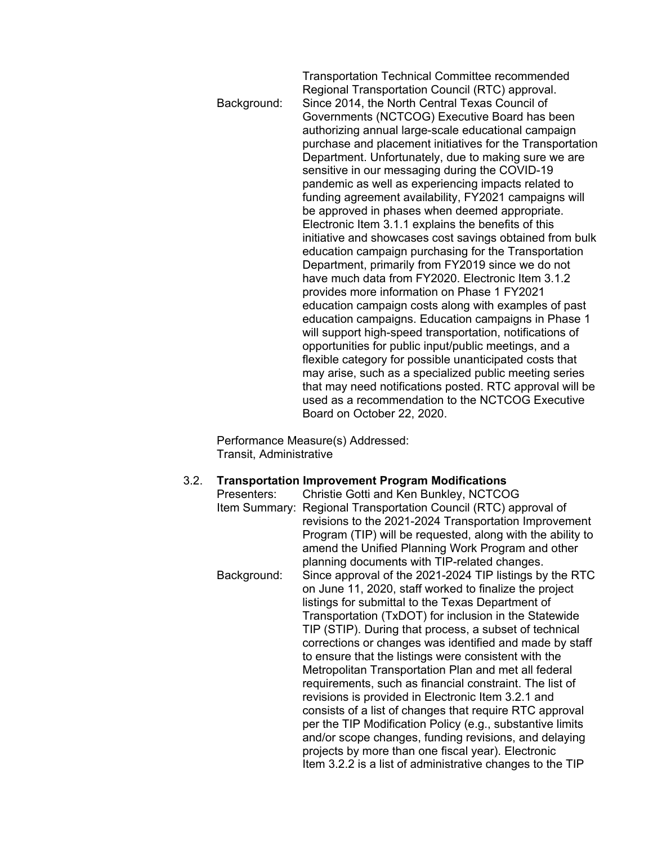Transportation Technical Committee recommended Regional Transportation Council (RTC) approval. Background: Since 2014, the North Central Texas Council of Governments (NCTCOG) Executive Board has been authorizing annual large-scale educational campaign purchase and placement initiatives for the Transportation Department. Unfortunately, due to making sure we are sensitive in our messaging during the COVID-19 pandemic as well as experiencing impacts related to funding agreement availability, FY2021 campaigns will be approved in phases when deemed appropriate. Electronic Item 3.1.1 explains the benefits of this initiative and showcases cost savings obtained from bulk education campaign purchasing for the Transportation Department, primarily from FY2019 since we do not have much data from FY2020. Electronic Item 3.1.2 provides more information on Phase 1 FY2021 education campaign costs along with examples of past education campaigns. Education campaigns in Phase 1 will support high-speed transportation, notifications of opportunities for public input/public meetings, and a flexible category for possible unanticipated costs that may arise, such as a specialized public meeting series that may need notifications posted. RTC approval will be used as a recommendation to the NCTCOG Executive Board on October 22, 2020.

Performance Measure(s) Addressed: Transit, Administrative

#### 3.2. **Transportation Improvement Program Modifications**

| Presenters: | Christie Gotti and Ken Bunkley, NCTCOG                          |
|-------------|-----------------------------------------------------------------|
|             | Item Summary: Regional Transportation Council (RTC) approval of |
|             | revisions to the 2021-2024 Transportation Improvement           |
|             | Program (TIP) will be requested, along with the ability to      |
|             | amend the Unified Planning Work Program and other               |
|             | planning documents with TIP-related changes.                    |
| Background: | Since approval of the 2021-2024 TIP listings by the RTC         |
|             | on June 11, 2020, staff worked to finalize the project          |
|             | listings for submittal to the Texas Department of               |
|             | Transportation (TxDOT) for inclusion in the Statewide           |
|             | TIP (STIP). During that process, a subset of technical          |
|             | corrections or changes was identified and made by staff         |
|             | to ensure that the listings were consistent with the            |
|             | Metropolitan Transportation Plan and met all federal            |
|             | requirements, such as financial constraint. The list of         |
|             | revisions is provided in Electronic Item 3.2.1 and              |
|             | consists of a list of changes that require RTC approval         |
|             | per the TIP Modification Policy (e.g., substantive limits       |
|             | and/or scope changes, funding revisions, and delaying           |
|             | projects by more than one fiscal year). Electronic              |
|             | Item 3.2.2 is a list of administrative changes to the TIP       |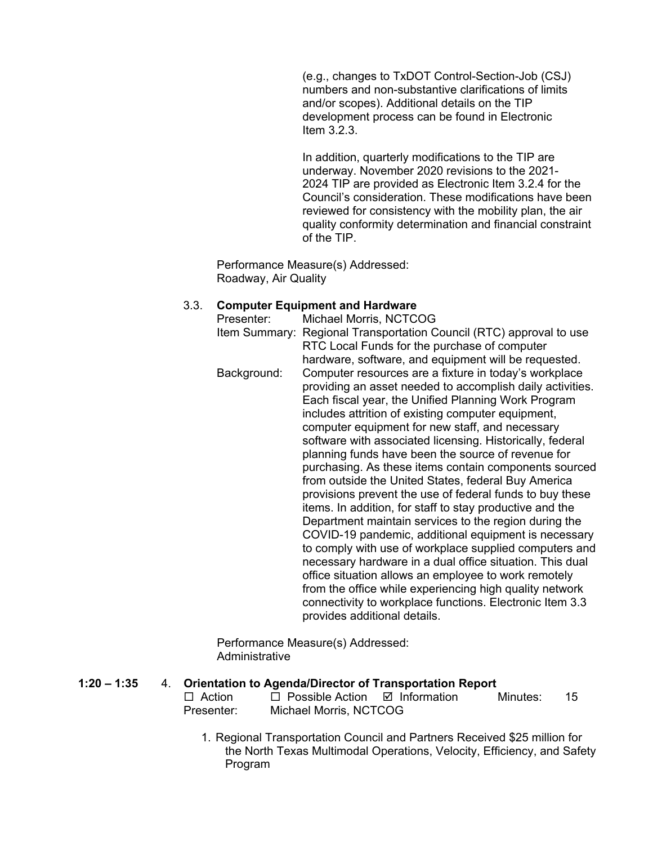(e.g., changes to TxDOT Control-Section-Job (CSJ) numbers and non-substantive clarifications of limits and/or scopes). Additional details on the TIP development process can be found in Electronic Item 3.2.3.

In addition, quarterly modifications to the TIP are underway. November 2020 revisions to the 2021- 2024 TIP are provided as Electronic Item 3.2.4 for the Council's consideration. These modifications have been reviewed for consistency with the mobility plan, the air quality conformity determination and financial constraint of the TIP.

Performance Measure(s) Addressed: Roadway, Air Quality

#### 3.3. **Computer Equipment and Hardware**

Presenter: Michael Morris, NCTCOG Item Summary: Regional Transportation Council (RTC) approval to use RTC Local Funds for the purchase of computer hardware, software, and equipment will be requested. Background: Computer resources are a fixture in today's workplace providing an asset needed to accomplish daily activities. Each fiscal year, the Unified Planning Work Program includes attrition of existing computer equipment, computer equipment for new staff, and necessary software with associated licensing. Historically, federal planning funds have been the source of revenue for purchasing. As these items contain components sourced from outside the United States, federal Buy America provisions prevent the use of federal funds to buy these items. In addition, for staff to stay productive and the Department maintain services to the region during the COVID-19 pandemic, additional equipment is necessary to comply with use of workplace supplied computers and necessary hardware in a dual office situation. This dual office situation allows an employee to work remotely from the office while experiencing high quality network connectivity to workplace functions. Electronic Item 3.3 provides additional details.

Performance Measure(s) Addressed: Administrative

#### **1:20 – 1:35** 4. **Orientation to Agenda/Director of Transportation Report**

| $\Box$ Action | $\Box$ Possible Action $\Box$ Information | Minutes: | -15 |
|---------------|-------------------------------------------|----------|-----|
| Presenter:    | Michael Morris, NCTCOG                    |          |     |

1. Regional Transportation Council and Partners Received \$25 million for the North Texas Multimodal Operations, Velocity, Efficiency, and Safety Program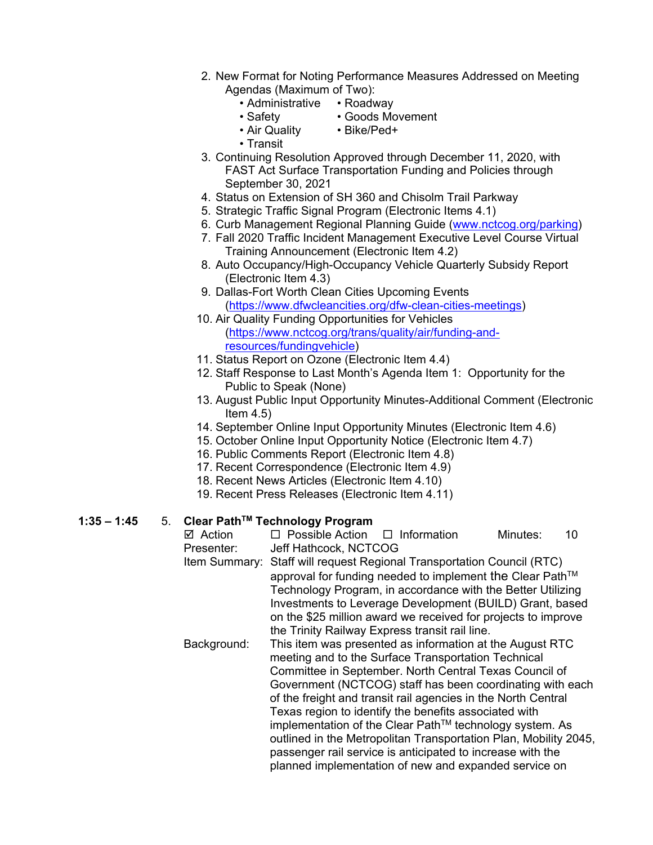- 2. New Format for Noting Performance Measures Addressed on Meeting Agendas (Maximum of Two):
	- Administrative Roadway
	-
	- Safety Goods Movement
	- Air Quality Bike/Ped+
		-
- Transit 3. Continuing Resolution Approved through December 11, 2020, with FAST Act Surface Transportation Funding and Policies through September 30, 2021
- 4. Status on Extension of SH 360 and Chisolm Trail Parkway
- 5. Strategic Traffic Signal Program (Electronic Items 4.1)
- 6. Curb Management Regional Planning Guide [\(www.nctcog.org/parking\)](http://www.nctcog.org/parking)
- 7. Fall 2020 Traffic Incident Management Executive Level Course Virtual Training Announcement (Electronic Item 4.2)
- 8. Auto Occupancy/High-Occupancy Vehicle Quarterly Subsidy Report (Electronic Item 4.3)
- 9. Dallas-Fort Worth Clean Cities Upcoming Events [\(https://www.dfwcleancities.org/dfw-clean-cities-meetings\)](https://www.dfwcleancities.org/dfw-clean-cities-meetings)
- 10. Air Quality Funding Opportunities for Vehicles [\(https://www.nctcog.org/trans/quality/air/funding-and](https://www.nctcog.org/trans/quality/air/funding-and-resources/fundingvehicle)[resources/fundingvehicle\)](https://www.nctcog.org/trans/quality/air/funding-and-resources/fundingvehicle)
- 11. Status Report on Ozone (Electronic Item 4.4)
- 12. Staff Response to Last Month's Agenda Item 1: Opportunity for the Public to Speak (None)
- 13. August Public Input Opportunity Minutes-Additional Comment (Electronic Item  $4.5$ )
- 14. September Online Input Opportunity Minutes (Electronic Item 4.6)
- 15. October Online Input Opportunity Notice (Electronic Item 4.7)
- 16. Public Comments Report (Electronic Item 4.8)
- 17. Recent Correspondence (Electronic Item 4.9)
- 18. Recent News Articles (Electronic Item 4.10)
- 19. Recent Press Releases (Electronic Item 4.11)

## **1:35 – 1:45** 5. **Clear PathTM Technology Program**

**Ø Action D** Possible Action D Information Minutes: 10<br>Presenter: Jeff Hathcock. NCTCOG Jeff Hathcock, NCTCOG

Item Summary: Staff will request Regional Transportation Council (RTC) approval for funding needed to implement the Clear Path™ Technology Program, in accordance with the Better Utilizing Investments to Leverage Development (BUILD) Grant, based on the \$25 million award we received for projects to improve the Trinity Railway Express transit rail line.

Background: This item was presented as information at the August RTC meeting and to the Surface Transportation Technical Committee in September. North Central Texas Council of Government (NCTCOG) staff has been coordinating with each of the freight and transit rail agencies in the North Central Texas region to identify the benefits associated with implementation of the Clear Path™ technology system. As outlined in the Metropolitan Transportation Plan, Mobility 2045, passenger rail service is anticipated to increase with the planned implementation of new and expanded service on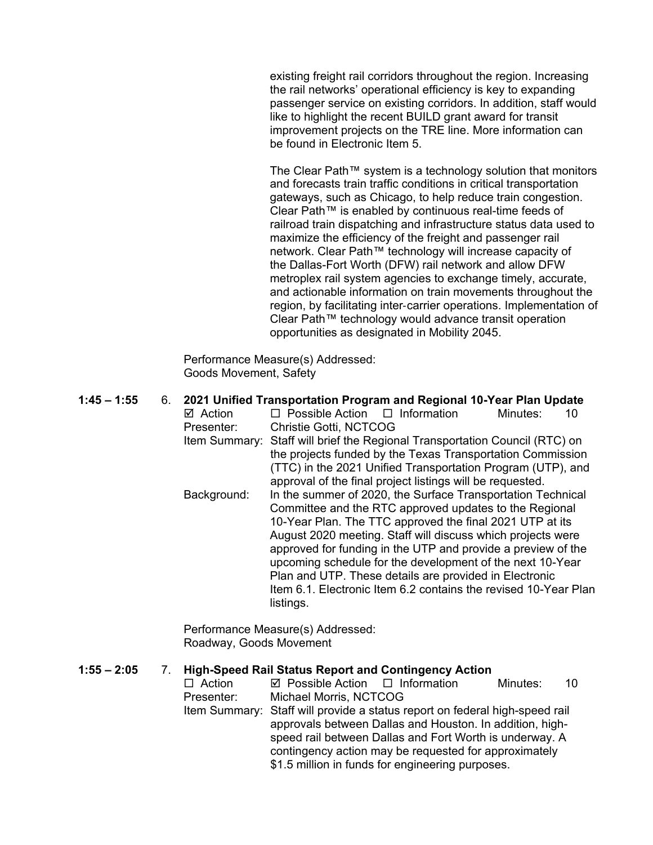existing freight rail corridors throughout the region. Increasing the rail networks' operational efficiency is key to expanding passenger service on existing corridors. In addition, staff would like to highlight the recent BUILD grant award for transit improvement projects on the TRE line. More information can be found in Electronic Item 5.

The Clear Path™ system is a technology solution that monitors and forecasts train traffic conditions in critical transportation gateways, such as Chicago, to help reduce train congestion. Clear Path™ is enabled by continuous real-time feeds of railroad train dispatching and infrastructure status data used to maximize the efficiency of the freight and passenger rail network. Clear Path™ technology will increase capacity of the Dallas-Fort Worth (DFW) rail network and allow DFW metroplex rail system agencies to exchange timely, accurate, and actionable information on train movements throughout the region, by facilitating inter‐carrier operations. Implementation of Clear Path™ technology would advance transit operation opportunities as designated in Mobility 2045.

Performance Measure(s) Addressed: Goods Movement, Safety

| $1:45 - 1:55$ | 6.                                                     |                    | 2021 Unified Transportation Program and Regional 10-Year Plan Update        |  |  |
|---------------|--------------------------------------------------------|--------------------|-----------------------------------------------------------------------------|--|--|
|               |                                                        | $\boxtimes$ Action | $\Box$ Possible Action $\Box$ Information<br>Minutes:<br>10                 |  |  |
|               |                                                        | Presenter:         | <b>Christie Gotti, NCTCOG</b>                                               |  |  |
|               |                                                        |                    | Item Summary: Staff will brief the Regional Transportation Council (RTC) on |  |  |
|               |                                                        |                    | the projects funded by the Texas Transportation Commission                  |  |  |
|               |                                                        |                    | (TTC) in the 2021 Unified Transportation Program (UTP), and                 |  |  |
|               |                                                        |                    | approval of the final project listings will be requested.                   |  |  |
|               |                                                        | Background:        | In the summer of 2020, the Surface Transportation Technical                 |  |  |
|               | Committee and the RTC approved updates to the Regional |                    |                                                                             |  |  |
|               |                                                        |                    | 10-Year Plan. The TTC approved the final 2021 UTP at its                    |  |  |
|               |                                                        |                    | August 2020 meeting. Staff will discuss which projects were                 |  |  |
|               |                                                        |                    | approved for funding in the UTP and provide a preview of the                |  |  |
|               |                                                        |                    | upcoming schedule for the development of the next 10-Year                   |  |  |
|               |                                                        |                    | Plan and UTP. These details are provided in Electronic                      |  |  |
|               |                                                        |                    | Item 6.1. Electronic Item 6.2 contains the revised 10-Year Plan             |  |  |
|               |                                                        |                    | listings.                                                                   |  |  |
|               |                                                        |                    |                                                                             |  |  |

Performance Measure(s) Addressed: Roadway, Goods Movement

| $1:55 - 2:05$ |  |                                                          | <b>High-Speed Rail Status Report and Contingency Action</b>                 |  |          |    |
|---------------|--|----------------------------------------------------------|-----------------------------------------------------------------------------|--|----------|----|
|               |  | $\Box$ Action                                            | $\boxtimes$ Possible Action $\Box$ Information                              |  | Minutes: | 10 |
|               |  | Presenter:                                               | Michael Morris, NCTCOG                                                      |  |          |    |
|               |  |                                                          | Item Summary: Staff will provide a status report on federal high-speed rail |  |          |    |
|               |  | approvals between Dallas and Houston. In addition, high- |                                                                             |  |          |    |
|               |  |                                                          | speed rail between Dallas and Fort Worth is underway. A                     |  |          |    |
|               |  |                                                          | contingency action may be requested for approximately                       |  |          |    |
|               |  |                                                          | \$1.5 million in funds for engineering purposes.                            |  |          |    |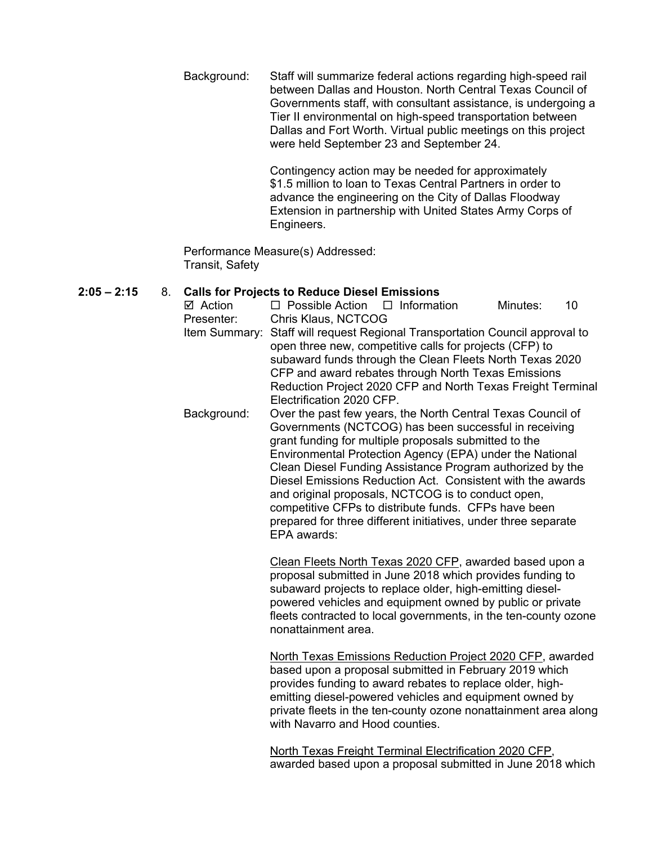Background: Staff will summarize federal actions regarding high-speed rail between Dallas and Houston. North Central Texas Council of Governments staff, with consultant assistance, is undergoing a Tier II environmental on high-speed transportation between Dallas and Fort Worth. Virtual public meetings on this project were held September 23 and September 24.

> Contingency action may be needed for approximately \$1.5 million to loan to Texas Central Partners in order to advance the engineering on the City of Dallas Floodway Extension in partnership with United States Army Corps of Engineers.

Performance Measure(s) Addressed: Transit, Safety

## **2:05 – 2:15** 8. **Calls for Projects to Reduce Diesel Emissions**

- $\boxtimes$  Action  $\Box$  Possible Action  $\Box$  Information Minutes: 10 Presenter: Chris Klaus, NCTCOG Item Summary: Staff will request Regional Transportation Council approval to open three new, competitive calls for projects (CFP) to subaward funds through the Clean Fleets North Texas 2020 CFP and award rebates through North Texas Emissions Reduction Project 2020 CFP and North Texas Freight Terminal Electrification 2020 CFP.
	- Background: Over the past few years, the North Central Texas Council of Governments (NCTCOG) has been successful in receiving grant funding for multiple proposals submitted to the Environmental Protection Agency (EPA) under the National Clean Diesel Funding Assistance Program authorized by the Diesel Emissions Reduction Act. Consistent with the awards and original proposals, NCTCOG is to conduct open, competitive CFPs to distribute funds. CFPs have been prepared for three different initiatives, under three separate EPA awards:

Clean Fleets North Texas 2020 CFP, awarded based upon a proposal submitted in June 2018 which provides funding to subaward projects to replace older, high-emitting dieselpowered vehicles and equipment owned by public or private fleets contracted to local governments, in the ten-county ozone nonattainment area.

North Texas Emissions Reduction Project 2020 CFP, awarded based upon a proposal submitted in February 2019 which provides funding to award rebates to replace older, highemitting diesel-powered vehicles and equipment owned by private fleets in the ten-county ozone nonattainment area along with Navarro and Hood counties.

North Texas Freight Terminal Electrification 2020 CFP, awarded based upon a proposal submitted in June 2018 which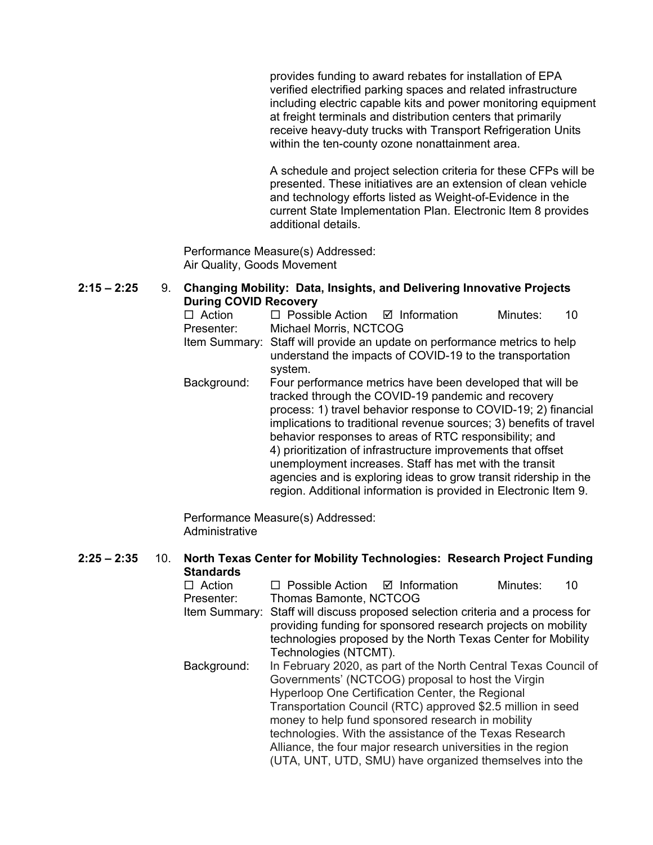provides funding to award rebates for installation of EPA verified electrified parking spaces and related infrastructure including electric capable kits and power monitoring equipment at freight terminals and distribution centers that primarily receive heavy-duty trucks with Transport Refrigeration Units within the ten-county ozone nonattainment area.

A schedule and project selection criteria for these CFPs will be presented. These initiatives are an extension of clean vehicle and technology efforts listed as Weight-of-Evidence in the current State Implementation Plan. Electronic Item 8 provides additional details.

Performance Measure(s) Addressed: Air Quality, Goods Movement

## **2:15 – 2:25** 9. **Changing Mobility: Data, Insights, and Delivering Innovative Projects During COVID Recovery**

| $\Box$ Action | $\Box$ Possible Action $\Box$ Information |                                                                           | Minutes: | 10. |
|---------------|-------------------------------------------|---------------------------------------------------------------------------|----------|-----|
| Presenter:    | Michael Morris, NCTCOG                    |                                                                           |          |     |
|               |                                           | Item Summary: Staff will provide an update on performance metrics to help |          |     |

- understand the impacts of COVID-19 to the transportation system.
- Background: Four performance metrics have been developed that will be tracked through the COVID-19 pandemic and recovery process: 1) travel behavior response to COVID-19; 2) financial implications to traditional revenue sources; 3) benefits of travel behavior responses to areas of RTC responsibility; and 4) prioritization of infrastructure improvements that offset unemployment increases. Staff has met with the transit agencies and is exploring ideas to grow transit ridership in the region. Additional information is provided in Electronic Item 9.

Performance Measure(s) Addressed: Administrative

# **2:25 – 2:35** 10. **North Texas Center for Mobility Technologies: Research Project Funding Standards**<br>□ Action

 $\Box$  Possible Action  $\Box$  Information Minutes: 10 Presenter: Thomas Bamonte, NCTCOG Item Summary: Staff will discuss proposed selection criteria and a process for providing funding for sponsored research projects on mobility technologies proposed by the North Texas Center for Mobility Technologies (NTCMT). Background: In February 2020, as part of the North Central Texas Council of Governments' (NCTCOG) proposal to host the Virgin Hyperloop One Certification Center, the Regional Transportation Council (RTC) approved \$2.5 million in seed money to help fund sponsored research in mobility technologies. With the assistance of the Texas Research Alliance, the four major research universities in the region (UTA, UNT, UTD, SMU) have organized themselves into the